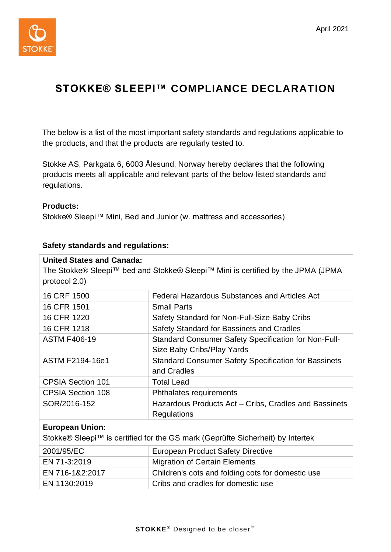

## **STOKKE® SLEEPI™ COMPLIANCE DECLARATION**

The below is a list of the most important safety standards and regulations applicable to the products, and that the products are regularly tested to.

Stokke AS, Parkgata 6, 6003 Ålesund, Norway hereby declares that the following products meets all applicable and relevant parts of the below listed standards and regulations.

## **Products:**

Stokke® Sleepi™ Mini, Bed and Junior (w. mattress and accessories)

## **Safety standards and regulations:**

| <b>United States and Canada:</b><br>The Stokke® Sleepi™ bed and Stokke® Sleepi™ Mini is certified by the JPMA (JPMA<br>protocol 2.0) |                                                                                    |  |
|--------------------------------------------------------------------------------------------------------------------------------------|------------------------------------------------------------------------------------|--|
| 16 CRF 1500                                                                                                                          | Federal Hazardous Substances and Articles Act                                      |  |
| 16 CFR 1501                                                                                                                          | <b>Small Parts</b>                                                                 |  |
| 16 CFR 1220                                                                                                                          | Safety Standard for Non-Full-Size Baby Cribs                                       |  |
| 16 CFR 1218                                                                                                                          | Safety Standard for Bassinets and Cradles                                          |  |
| <b>ASTM F406-19</b>                                                                                                                  | Standard Consumer Safety Specification for Non-Full-<br>Size Baby Cribs/Play Yards |  |
| ASTM F2194-16e1                                                                                                                      | Standard Consumer Safety Specification for Bassinets<br>and Cradles                |  |
| <b>CPSIA Section 101</b>                                                                                                             | <b>Total Lead</b>                                                                  |  |
| <b>CPSIA Section 108</b>                                                                                                             | Phthalates requirements                                                            |  |
| SOR/2016-152                                                                                                                         | Hazardous Products Act – Cribs, Cradles and Bassinets<br>Regulations               |  |
| <b>European Union:</b><br>Stokke® Sleepi™ is certified for the GS mark (Geprüfte Sicherheit) by Intertek                             |                                                                                    |  |

| 2001/95/EC      | <b>European Product Safety Directive</b>          |
|-----------------|---------------------------------------------------|
| EN 71-3:2019    | <b>Migration of Certain Elements</b>              |
| EN 716-1&2:2017 | Children's cots and folding cots for domestic use |
| EN 1130:2019    | Cribs and cradles for domestic use                |